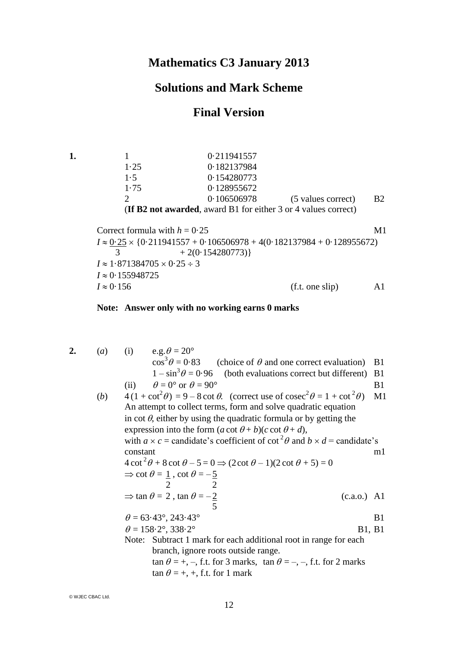# **Mathematics C3 January 2013**

# **Solutions and Mark Scheme**

## **Final Version**

**1.** 1 0·211941557 1·25 0·182137984 1·5 0·154280773 1·75 0·128955672 2 0·106506978 (5 values correct) B2 (**If B2 not awarded**, award B1 for either 3 or 4 values correct)

Correct formula with  $h = 0.25$  M1  $I \approx 0.25 \times \{0.211941557 + 0.106506978 + 4(0.182137984 + 0.128955672)\}$ 3  $+ 2(0.154280773)$  $I \approx 1.871384705 \times 0.25 \div 3$  $I \approx 0.155948725$  $I \approx 0.156$  (f.t. one slip) A1

**Note: Answer only with no working earns 0 marks**

2. (a) (i) e.g. 
$$
\theta = 20^{\circ}
$$
  
\n $\cos^{3} \theta = 0.83$  (choice of  $\theta$  and one correct evaluation) B1  
\n $1 - \sin^{3} \theta = 0.96$  (both evaluations correct but different) B1  
\n(ii)  $\theta = 0^{\circ}$  or  $\theta = 90^{\circ}$   
\n(b)  $4(1 + \cot^{2} \theta) = 9 - 8 \cot \theta$ . (correct use of  $\csc^{2} \theta = 1 + \cot^{2} \theta$ ) M1  
\nAn attempt to collect terms, form and solve quadratic equation  
\nin  $\cot \theta$ , either by using the quadratic formula or by getting the  
\nexpression into the form  $(a \cot \theta + b)(c \cot \theta + d)$ ,  
\nwith  $a \times c$  = candidate's coefficient of  $\cot^{2} \theta$  and  $b \times d$  = candidate's  
\nconstant  
\n $4 \cot^{2} \theta + 8 \cot \theta - 5 = 0 \Rightarrow (2 \cot \theta - 1)(2 \cot \theta + 5) = 0$   
\n $\Rightarrow \cot \theta = 1$ ,  $\cot \theta = -\frac{5}{2}$   
\n $\Rightarrow \tan \theta = 2$ ,  $\tan \theta = -\frac{2}{5}$   
\n $\theta = 63.43^{\circ}, 243.43^{\circ}$   
\n $\theta = 158.2^{\circ}, 338.2^{\circ}$   
\nB1, B1  
\nNote: Subtract 1 mark for each additional root in range for each  
\nbranch, ignore roots outside range.  
\n $\tan \theta = +, -$ , f.t. for 3 marks,  $\tan \theta = -, -$ , f.t. for 2 marks  
\n $\tan \theta = +, +$ , f.t. for 1 mark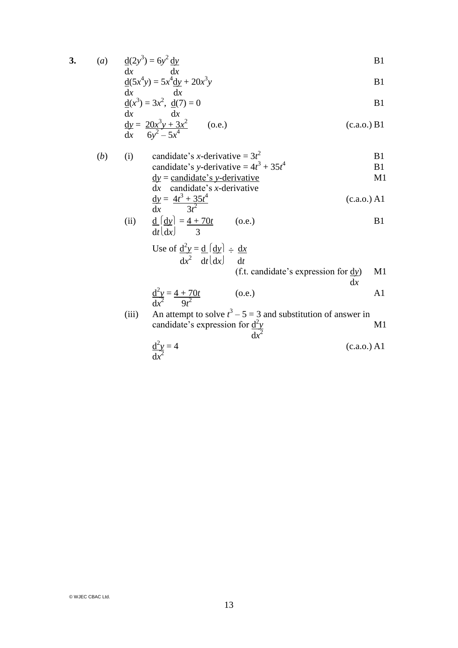$$
3. \qquad \qquad
$$

3. (a) 
$$
\frac{d(2y^3)}{dx} = 6y^2 \frac{dy}{dx}
$$

$$
\frac{d(5x^4y)}{dx} = 5x^4 \frac{dy}{dx} + 20x^3y
$$
 B1

$$
\frac{d}{dx}(x^3) = 3x^2, \frac{d}{dx}(7) = 0
$$

$$
\frac{dy}{dx} = \frac{20x^3y + 3x^2}{6y^2 - 5x^4}
$$
 (o.e.) (c.a.o.) B1

(b) (i) candidate's *x*-derivative = 
$$
3t^2
$$
  
candidate's *y*-derivative =  $4t^3 + 35t^4$  B1

$$
\underline{dy} = \underline{candidate's y-derivative} \qquad \qquad \text{M1}
$$
\n
$$
dx = \underline{candidate's x-derivative}
$$

$$
\frac{dy}{dx} = \frac{4t^3 + 35t^4}{3t^2}
$$
 (c.a.o.) A1

(ii) 
$$
\frac{d}{dt} \left( \frac{dy}{dx} \right) = \frac{4 + 70t}{3}
$$
 (o.e.)

Use of 
$$
\frac{d^2y}{dx^2} = \frac{d}{dt} \left( \frac{dy}{dx} \right) \div \frac{dx}{dt}
$$
  
(f.t. candidate's expression for  $\frac{dy}{dx}$ ) M1

d*x* d 2 *y* = 4 + 70*t* (o.e.) A1 d*x* 9*t* 2 2

(iii) An attempt to solve  $t^3 - 5 = 3$  and substitution of answer in candidate's expression for  $\frac{d^2y}{dx^2}$  M1  $dx^2$ 

$$
\frac{d^2y}{dx^2} = 4
$$
 (c.a.o.) A1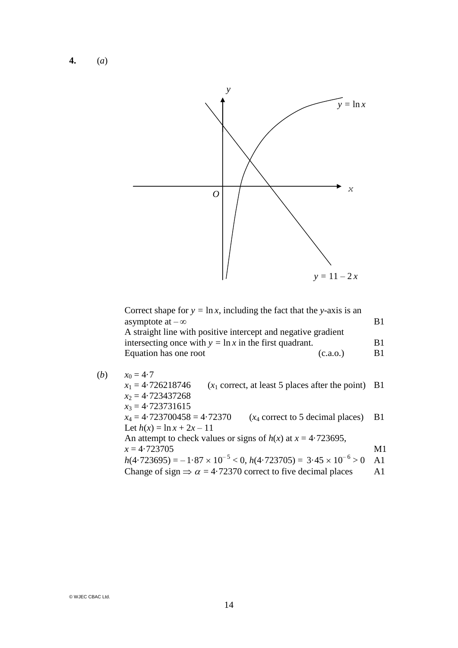**4.** (*a*)



| Correct shape for $y = \ln x$ , including the fact that the y-axis is an |    |
|--------------------------------------------------------------------------|----|
| asymptote at $-\infty$                                                   |    |
| A straight line with positive intercept and negative gradient            |    |
| intersecting once with $y = \ln x$ in the first quadrant.                | R1 |
| Equation has one root<br>(c.a.0.)                                        | R1 |
|                                                                          |    |
|                                                                          |    |

(*b*)  $x_0 = 4.7$  $x_1 = 4.726218746$  ( $x_1$  correct, at least 5 places after the point) B1 *x*<sup>2</sup> = 4·723437268 *x*<sup>3</sup> = 4·723731615  $x_4 = 4.723700458 = 4.72370$  ( $x_4$  correct to 5 decimal places) B1 Let  $h(x) = \ln x + 2x - 11$ An attempt to check values or signs of  $h(x)$  at  $x = 4.723695$ ,  $x = 4.723705$  M1  $h(4.723695) = -1.87 \times 10^{-5} < 0, h(4.723705) = 3.45 \times 10^{-6} > 0$  A1 Change of sign  $\Rightarrow \alpha = 4.72370$  correct to five decimal places A1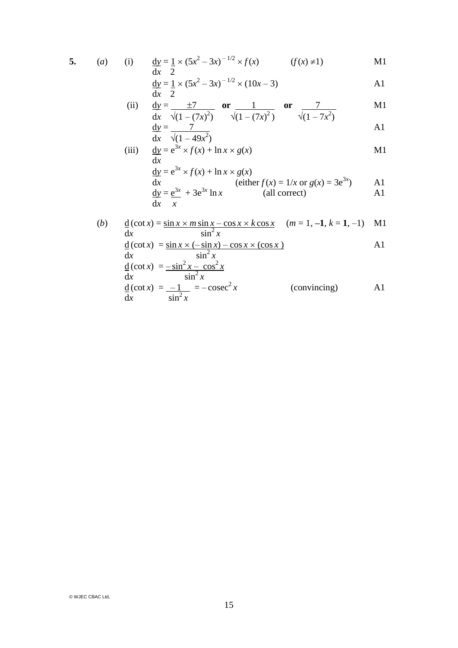$$
5. (a)
$$

(i) 
$$
\frac{dy}{dx} = \frac{1}{2} \times (5x^2 - 3x)^{-1/2} \times f(x)
$$
  $(f(x) \neq 1)$  M1

$$
\frac{dy}{dx} = \frac{1}{2} \times (5x^2 - 3x)^{-1/2} \times (10x - 3)
$$

(ii) 
$$
\frac{dx}{dx} = \frac{\pm 7}{\sqrt{(1 - (7x)^2)}}
$$
 or  $\frac{1}{\sqrt{(1 - (7x)^2)}}$  or  $\frac{7}{\sqrt{(1 - 7x^2)}}$  M1

$$
\frac{dy}{dx} = \frac{7}{\sqrt{(1 - 49x^2)}}
$$

(iii) 
$$
\frac{dy}{dx} = e^{3x} \times f(x) + \ln x \times g(x)
$$
 M1

$$
\frac{dy}{dx} = e^{3x} \times f(x) + \ln x \times g(x)
$$
\n
$$
\frac{dy}{dx} = \frac{e^{3x}}{x} + 3e^{3x} \ln x
$$
\n
$$
\frac{dy}{dx} = \frac{e^{3x}}{x} + 3e^{3x} \ln x
$$
\n
$$
\frac{dy}{dx} = \frac{e^{3x}}{x} + 3e^{3x} \ln x
$$
\n
$$
\frac{dy}{dx} = \frac{e^{3x}}{x} + 3e^{3x} \ln x
$$
\n
$$
\frac{dy}{dx} = \frac{e^{3x}}{x} + 3e^{3x} \ln x
$$
\n
$$
\frac{dy}{dx} = \frac{e^{3x}}{x} + 3e^{3x} \ln x
$$
\n
$$
\frac{dy}{dx} = \frac{e^{3x}}{x} + 3e^{3x} \ln x
$$
\n
$$
\frac{dy}{dx} = \frac{e^{3x}}{x} + 3e^{3x} \ln x
$$
\n
$$
\frac{dy}{dx} = \frac{e^{3x}}{x} + 3e^{3x} \ln x
$$
\n
$$
\frac{dy}{dx} = \frac{e^{3x}}{x} + 3e^{3x} \ln x
$$
\n
$$
\frac{dy}{dx} = \frac{e^{3x}}{x} + 3e^{3x} \ln x
$$
\n
$$
\frac{dy}{dx} = \frac{e^{3x}}{x} + 3e^{3x} \ln x
$$
\n
$$
\frac{dy}{dx} = \frac{e^{3x}}{x} + 3e^{3x} \ln x
$$
\n
$$
\frac{dy}{dx} = \frac{e^{3x}}{x} + 3e^{3x} \ln x
$$
\n
$$
\frac{dy}{dx} = \frac{e^{3x}}{x} + 3e^{3x} \ln x
$$
\n
$$
\frac{dy}{dx} = \frac{e^{3x}}{x} + 3e^{3x} \ln x
$$
\n
$$
\frac{dy}{dx} = \frac{e^{3x}}{x} + 3e^{3x} \ln x
$$
\n
$$
\frac{dy}{dx} = \frac{e^{3x}}{x} + 3e^{3x} \ln x
$$
\n
$$
\frac{dy}{dx} = \frac{e^{3x}}{x} + 3e
$$

(b) 
$$
\frac{d}{dx}(\cot x) = \frac{\sin x \times m \sin x - \cos x \times k \cos x}{\sin^2 x}
$$
  $(m = 1, -1, k = 1, -1)$  M1  
\n
$$
\frac{d}{dx}(\cot x) = \frac{\sin x \times (-\sin x) - \cos x \times (\cos x)}{\sin^2 x}
$$
 A1  
\n
$$
\frac{d}{dx}(\cot x) = \frac{-\sin^2 x - \cos^2 x}{\sin^2 x}
$$
  
\n
$$
\frac{d}{dx}(\cot x) = \frac{-1}{\sin^2 x} = -\csc^2 x
$$
 (convincing) A1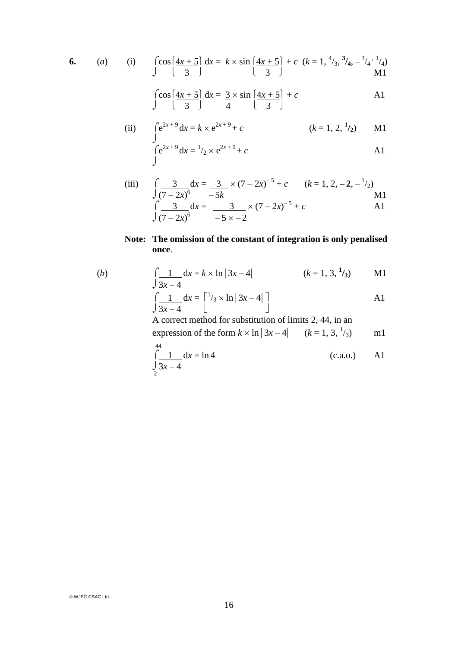6. (a) (i) 
$$
\int \cos\left(\frac{4x+5}{3}\right) dx = k \times \sin\left(\frac{4x+5}{3}\right) + c
$$
  $(k = 1, \frac{4}{3}, \frac{3}{4}, -\frac{3}{4}, \frac{1}{4})$   
M1

$$
\int \cos\left(\frac{4x+5}{3}\right) dx = \frac{3}{4} \times \sin\left(\frac{4x+5}{3}\right) + c
$$
 A1

(ii) 
$$
\int e^{2x+9} dx = k \times e^{2x+9} + c
$$
   
  $\int e^{2x+9} dx = \frac{1}{2} \times e^{2x+9} + c$    
  $\int e^{2x+9} dx = \frac{1}{2} \times e^{2x+9} + c$ 

(iii) 
$$
\int \frac{3}{(7-2x)^6} dx = \frac{3}{-5k} \times (7-2x)^{-5} + c \qquad (k = 1, 2, -2, -\frac{1}{2})
$$
  
\n
$$
\int \frac{3}{(7-2x)^6} dx = \frac{3}{-5 \times -2} \times (7-2x)^{-5} + c
$$

### **Note: The omission of the constant of integration is only penalised once**.

(b) 
$$
\int \frac{1}{3x-4} dx = k \times \ln |3x-4| \qquad (k = 1, 3, \frac{1}{3}) \qquad \text{M1}
$$

$$
\int \frac{1}{3x-4} dx = \begin{bmatrix} 1/3 \times \ln |3x-4| \\ 1 \end{bmatrix}
$$

A correct method for substitution of limits 2, 44, in an

expression of the form  $k \times \ln |3x - 4|$   $(k = 1, 3, \frac{1}{3})$  m1  $44$ 

$$
\int_{2}^{44} \frac{1}{3x - 4} dx = \ln 4
$$
 (c.a.o.) A1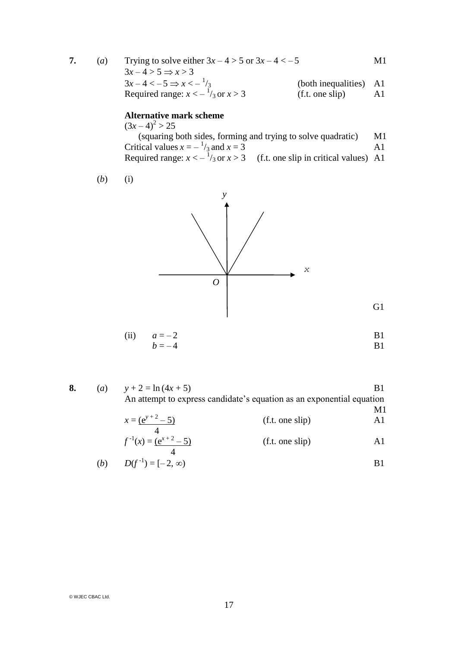| $\left( a\right)$ | Trying to solve either $3x - 4 > 5$ or $3x - 4 < -5$ |                        | M1 |
|-------------------|------------------------------------------------------|------------------------|----|
|                   | $3x-4>5 \Rightarrow x>3$                             |                        |    |
|                   | $3x-4 < -5 \Rightarrow x < -\frac{1}{3}$             | (both inequalities) A1 |    |
|                   | Required range: $x < -\frac{1}{3}$ or $x > 3$        | (f.t. one slip)        | Al |

#### **Alternative mark scheme**

 $(3x-4)^2 > 25$  (squaring both sides, forming and trying to solve quadratic) M1 Critical values  $x = -\frac{1}{3}$  and  $x = 3$  A1 Required range:  $x < -\frac{1}{3}$  or  $x > 3$  (f.t. one slip in critical values) A1

$$
(b) (i)
$$



(ii) 
$$
a = -2
$$
  
\n $b = -4$  B1

G<sub>1</sub>

**8.** (*a*)  $y + 2 = \ln(4x + 5)$  B1 An attempt to express candidate's equation as an exponential equation  $M1$ <br> $\Delta$ 1  $(x^{y+2} - 5)$  $(f \cdot \text{one } \text{clip})$ 

$$
x = \frac{(e^{x} - 5)}{4}
$$
 (1.1. one strip)  
\n
$$
f^{-1}(x) = \frac{(e^{x+2} - 5)}{4}
$$
 (1.1. one slip)  
\n(1.1. one slip)  
\nA1

(b) 
$$
D(f^{-1}) = [-2, \infty)
$$
 B1